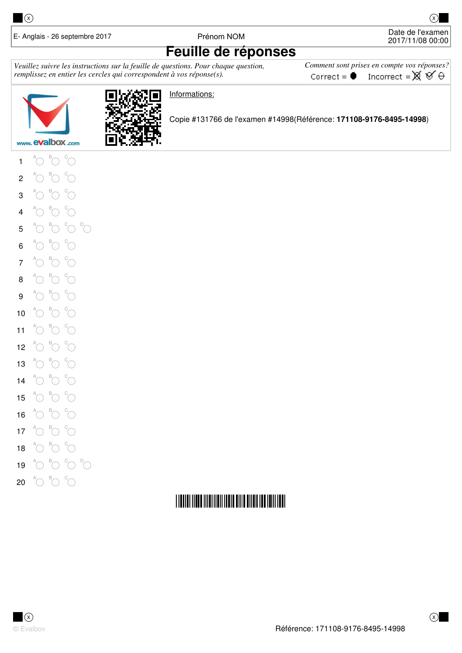

E- Anglais - 26 septembre 2017 **Prénom NOM** Prénom NOM Date de l'examen

2017/11/08 00:00

### **Feuille de réponses**

Veuillez suivre les instructions sur la feuille de questions. Pour chaque question, *remplissez en entier les cercles qui correspondent à vos réponse(s).* 

 $$ Incorrect =  $\mathbb{X} \mathfrak{V} \Theta$ Correct =  $\bullet$ 





Informations:

Copie #131766 de l'examen #14998(Référence: **171108-9176-8495-14998**)

1  $^{\mathsf{A}}\!{\bigodot}$  $^{\textrm{\tiny{\textregistered}}}$  $^\circ\!{\rm C}$ 2 A  $\bigcirc$ B  $\odot$ C **.** 3 A  $\bigcirc$ B  $\odot$ C **.** 4  $^{\mathsf{A}}\!{\bigodot}$  $^{\textrm{\tiny{\textregistered}}}$  $^\circ\!{\rm C}$ 5 A  $\bigcirc$  $^{\textrm{\tiny{\textregistered}}}$  $^\circ\!{\rm C}$ 6  $^{\mathsf{A}}\!{\bigcirc\!\!\!\!~}{}$  $^{\textrm{\tiny{\textregistered}}}$  $\mathrm{C}^{\circ}$ 7  $^{\mathsf{A}}\!{\bigcirc\!\!\!\!~}{}$  $^{\textrm{\tiny{\textregistered}}}$  $\mathrm{C}^{\circ}$ 8  $^{\mathsf{A}}\!{\bigcirc\!\!\!\!~}{}$  $^{\textrm{\tiny{\textregistered}}}$  $\mathrm{C}^{\circ}$ 9  $^{\mathsf{A}}\!{\bigcirc\!\!\!\! \circ}$  $^{\textrm{\tiny{\rm {B}}}}$ 0  $\mathrm{C}^{\circ}$ 10  $^{\mathsf{A}}\!{\bigcirc\!\!\!\! \circ}$  $^{\textrm{\tiny{\rm {B}}}}$ 0  $\mathrm{C}^{\circ}$ 11  $^{\mathsf{A}}\!{\bigcirc\!\!\!\! \circ}$  $^{\textrm{\tiny{\rm {B}}}}$ 0 C **.** 12  $^{\mathsf{A}}\!{\bigcirc\!\!\!\! \circ}$ B  $\odot$ C **.** 13  $^{\mathsf{A}}\!{\bigcirc\!\!\!\! \circ}$ B  $\odot$ C **.** 14  $^{\mathsf{A}}\!{\bigcirc\!\!\!\!~}{}$  $^{\textrm{\tiny{\rm {B}}}}$ 0 C **.** 15  $^{\mathsf{A}}\!{\bigcirc\!\!\!\!~}{}$  $^{\textrm{\tiny{\rm {B}}}}$ 0  $\mathrm{C}^{\circ}$ 16  $^{\mathsf{A}}\!{\bigcirc\!\!\!\!~}{}$  $^{\textrm{\tiny{\rm {B}}}}$ 0  $\mathrm{C}^{\circ}$ 17  $^{\mathsf{A}}\!{\bigcirc\!\!\!\!~}{}$  $^{\textrm{\tiny{\rm {B}}}}$ 0  $\mathrm{C}^{\circ}$ 18  $^{\mathsf{A}}\!{\bigcirc\!\!\!\!~}{}$  $^{\textrm{\tiny{\rm {B}}}}$ 0  $\mathrm{C}^{\circ}$ 19 A  $\bigcirc$  $^{\textrm{\tiny{\textregistered}}}$  $^{\circ}\!\!\circ\ ^{\circ}$ 

 $^{\circ}$ C

#### 20  $^{\mathsf{A}}\!{\bigodot}$  $^{\textrm{\tiny{\textregistered}}}$  $\mathrm{C}^{\circ}$

## **THE REAL PROPERTY AND AN ALL PROPERTY AND ALL PROPERTY**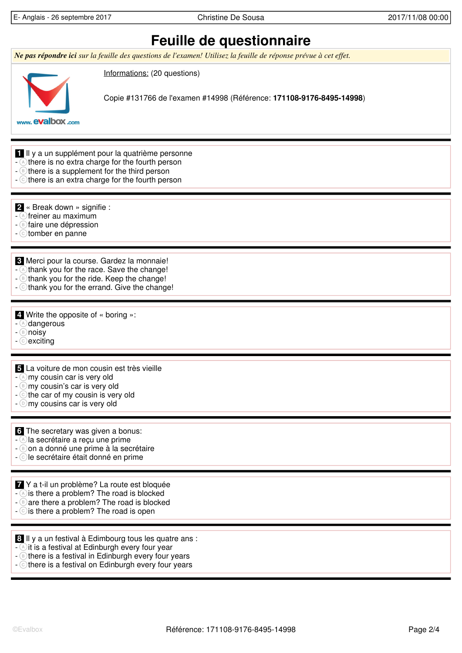E- Anglais - 26 septembre 2017 Christine De Sousa 2017/11/08 00:00

# **Feuille de questionnaire**

*Ne pas répondre ici sur la feuille des questions de l'examen! Utilisez la feuille de réponse prévue à cet effet.* 



Informations: (20 questions)

Copie #131766 de l'examen #14998 (Référence: **171108-9176-8495-14998**)

www. evalbox.com

- **1** Il y a un supplément pour la quatrième personne
- there is no extra charge for the fourth person
- $-\circledcirc$  there is a supplement for the third person
- $\sim$  c there is an extra charge for the fourth person

 **2** « Break down » signifie :

- $\widehat{\wedge}$  freiner au maximum
- **B** faire une dépression
- c tomber en panne

 **3** Merci pour la course. Gardez la monnaie!

- $\triangle$  thank you for the race. Save the change!
- **B** thank you for the ride. Keep the change!
- c thank you for the errand. Give the change!

 **4** Write the opposite of « boring »:

- dangerous)
- **b** noisy
- c exciting

 **5** La voiture de mon cousin est très vieille

- $-\widehat{a}$  my cousin car is very old
- **B** my cousin's car is very old
- the car of my cousin is very old
- $\circledcirc$  my cousins car is very old

#### **6** The secretary was given a bonus:

- $\triangle$ la secrétaire a reçu une prime
- $-\sqrt{B}$  on a donné une prime à la secrétaire
- c le secrétaire était donné en prime
- **7** Y a t-il un problème? La route est bloquée
- is there a problem? The road is blocked
- $-\epsilon$  are there a problem? The road is blocked
- $\cdot$   $\circ$  is there a problem? The road is open

 **8** Il y a un festival à Edimbourg tous les quatre ans :

- $\triangle$ it is a festival at Edinburgh every four year
- $\circ$  there is a festival in Edinburgh every four years
- c there is a festival on Edinburgh every four years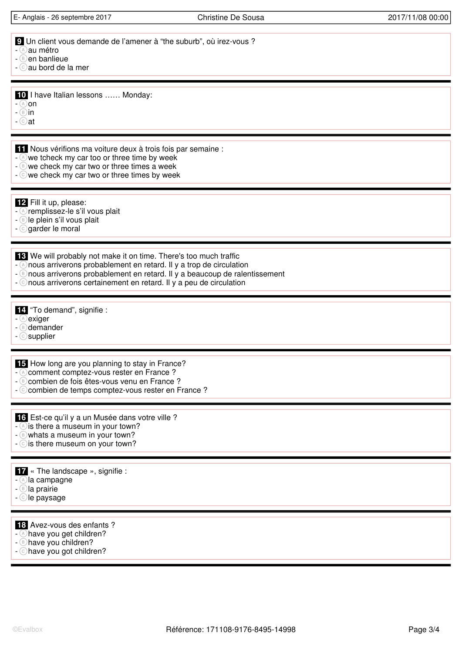